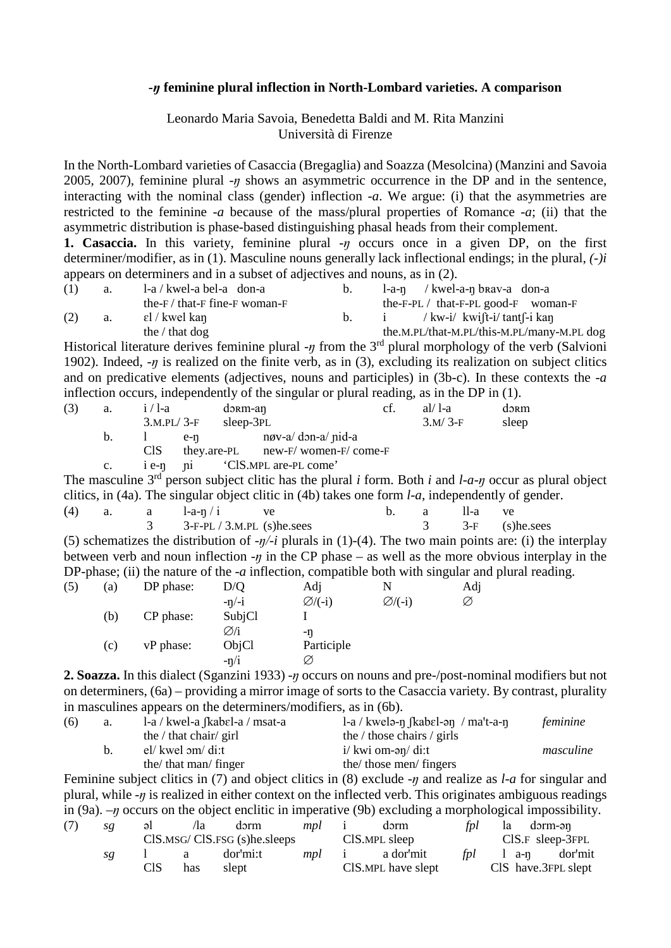## **-***ŋ* **feminine plural inflection in North-Lombard varieties. A comparison**

## Leonardo Maria Savoia, Benedetta Baldi and M. Rita Manzini Università di Firenze

In the North-Lombard varieties of Casaccia (Bregaglia) and Soazza (Mesolcina) (Manzini and Savoia 2005, 2007), feminine plural  $-\eta$  shows an asymmetric occurrence in the DP and in the sentence, interacting with the nominal class (gender) inflection *-a*. We argue: (i) that the asymmetries are restricted to the feminine -*a* because of the mass/plural properties of Romance -*a*; (ii) that the asymmetric distribution is phase-based distinguishing phasal heads from their complement.

**1. Casaccia.** In this variety, feminine plural *-ŋ* occurs once in a given DP, on the first determiner/modifier, as in (1). Masculine nouns generally lack inflectional endings; in the plural, *(-)i* appears on determiners and in a subset of adjectives and nouns, as in (2).

| (1) | a. | $1-a /$ kwel-a bel-a don-a                | $b_{1}$ | $1-a-n$ / kwel-a-n brav-a don-a            |
|-----|----|-------------------------------------------|---------|--------------------------------------------|
|     |    | the- $F /$ that- $F$ fine- $F$ woman- $F$ |         | the-F-PL $/$ that-F-PL good-F woman-F      |
| (2) | a. | εl / kwel kan                             | b.      | $i$ / kw-i/ kwift-i/ tant $\int$ -i kan    |
|     |    | the $/$ that dog                          |         | the.M.PL/that-M.PL/this-M.PL/many-M.PL dog |

Historical literature derives feminine plural *-ŋ* from the 3rd plural morphology of the verb (Salvioni 1902). Indeed,  $-\eta$  is realized on the finite verb, as in (3), excluding its realization on subject clitics and on predicative elements (adjectives, nouns and participles) in (3b-c). In these contexts the -*a* inflection occurs, independently of the singular or plural reading, as in the DP in (1).

| (3) | a.          | $i/1-a$      | dərm-an   |                                      | ct. | $al/1-a$  | $d3$ Rm |
|-----|-------------|--------------|-----------|--------------------------------------|-----|-----------|---------|
|     |             | $3.M.PL/3-F$ | sleep-3PL |                                      |     | $3.M/3-F$ | sleep   |
|     | b.          | e-n          |           | nøv-a/ don-a/ nid-a                  |     |           |         |
|     |             | CIS.         |           | they.are-PL $new-F/ women-F/ come-F$ |     |           |         |
|     | $c_{\cdot}$ |              |           | i e-n ni CIS.MPL are-PL come'        |     |           |         |

The masculine 3rd person subject clitic has the plural *i* form. Both *i* and *l-a-ŋ* occur as plural object clitics, in (4a). The singular object clitic in (4b) takes one form *l-a*, independently of gender.

| (4) | a. | a a | $l-a-n/1$ | ve.                        |  | -я | II-a | ve.                                                                                                                   |  |
|-----|----|-----|-----------|----------------------------|--|----|------|-----------------------------------------------------------------------------------------------------------------------|--|
|     |    |     |           | $3-F-PL/3.M.PL$ (s)he.sees |  |    |      | $3 \qquad 3-F \qquad (s)$ he.sees                                                                                     |  |
|     |    |     |           |                            |  |    |      | (5) schematizes the distribution of $-\eta$ - <i>i</i> plurals in (1)-(4). The two main points are: (i) the interplay |  |
|     |    |     |           |                            |  |    |      | between verb and noun inflection $-\eta$ in the CP phase – as well as the more obvious interplay in the               |  |

|     |     |           |         |                     |                     | DP-phase; (ii) the nature of the - <i>a</i> inflection, compatible both with singular and plural reading. |  |
|-----|-----|-----------|---------|---------------------|---------------------|-----------------------------------------------------------------------------------------------------------|--|
| (5) | (a) | DP phase: | D/O     | Adj                 |                     | Adj                                                                                                       |  |
|     |     |           | $-n/-i$ | $\varnothing$ /(-i) | $\varnothing$ /(-i) | Ø                                                                                                         |  |
|     | (b) | CP phase: | SubjCl  |                     |                     |                                                                                                           |  |
|     |     |           | Ø⁄i     | -n                  |                     |                                                                                                           |  |
|     | (c) | vP phase: | ObjCl   | Participle          |                     |                                                                                                           |  |
|     |     |           | $-n/i$  |                     |                     |                                                                                                           |  |

**2. Soazza.** In this dialect (Sganzini 1933) *-ŋ* occurs on nouns and pre-/post-nominal modifiers but not on determiners, (6a) – providing a mirror image of sorts to the Casaccia variety. By contrast, plurality in masculines appears on the determiners/modifiers, as in (6b).

| (6) | a. | $1-a / kwell-a$ (kabel-a / msat-a | $1-a /$ kwelə-n $\beta$ kab $\epsilon$ l-ən / ma't-a-n | feminine  |
|-----|----|-----------------------------------|--------------------------------------------------------|-----------|
|     |    | the $/$ that chair $/$ girl       | the $\ell$ those chairs $\ell$ girls                   |           |
|     |    | el/ kwel om/ di:t                 | $i/\text{kwi om-ən/di:t}$                              | masculine |
|     |    | the/ that man/ finger             | the/ those men/ fingers                                |           |

Feminine subject clitics in (7) and object clitics in (8) exclude *-ŋ* and realize as *l-a* for singular and plural, while *-ŋ* is realized in either context on the inflected verb. This originates ambiguous readings in (9a). *–ŋ* occurs on the object enclitic in imperative (9b) excluding a morphological impossibility.

| (7) | sg | $\mathsf{a}$                   | /1a                                    | dərm     | <i>mpl</i> i  |  | dərm                   | fpl                   |                  | la dorm-ən          |
|-----|----|--------------------------------|----------------------------------------|----------|---------------|--|------------------------|-----------------------|------------------|---------------------|
|     |    | $CIS.MSG/CIS.FSG(S)$ he.sleeps |                                        |          | CIS.MPL sleep |  |                        | $CIS.F$ sleep-3 $FPL$ |                  |                     |
|     | sg |                                | $\begin{array}{ccc} 1 & a \end{array}$ | dor'mi:t |               |  | <i>mpl</i> i a dor'mit |                       | <i>fpl</i> 1 a-n | dor'mit             |
|     |    | CIS                            | has                                    | slept    |               |  | CIS.MPL have slept     |                       |                  | CIS have.3FPL slept |
|     |    |                                |                                        |          |               |  |                        |                       |                  |                     |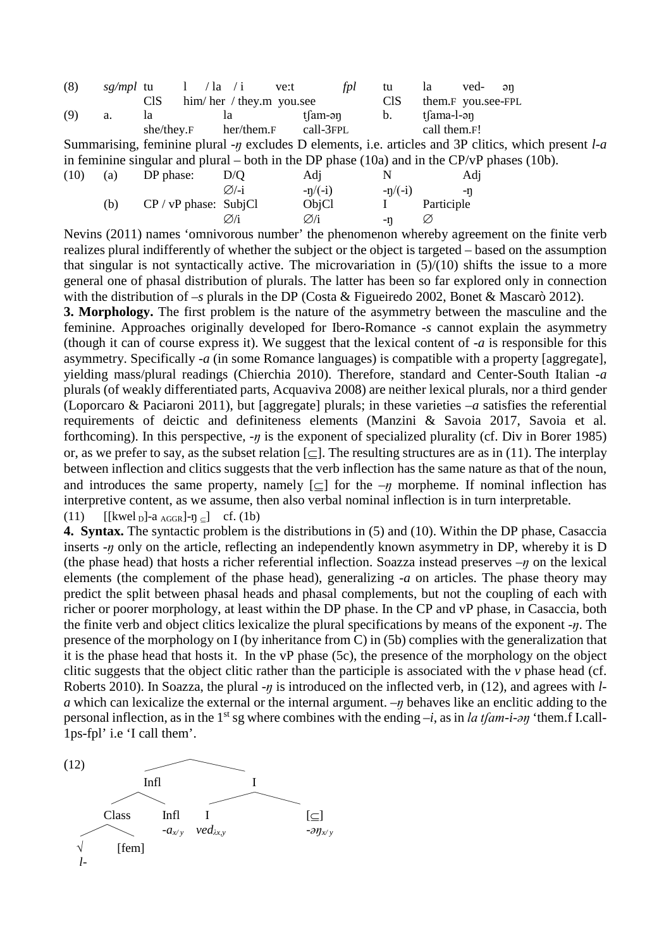| (8) | sg/mpl tu |            | $1 / \ln / i$            | ve:t | tpl       | tu              | la.          | ved- ən            |  |
|-----|-----------|------------|--------------------------|------|-----------|-----------------|--------------|--------------------|--|
|     |           | CIS        | him/her / they.m you.see |      |           | C <sub>IS</sub> |              | them.F you.see-FPL |  |
| (9) | a.        | 1a         | la l                     |      | tlam-ən   | $b_{1}$         | tfama-l-ən   |                    |  |
|     |           | she/they.F | her/them.F               |      | call-3FPL |                 | call them.F! |                    |  |

Summarising, feminine plural *-ŋ* excludes D elements, i.e. articles and 3P clitics, which present *l-a* in feminine singular and plural – both in the DP phase  $(10a)$  and in the CP/vP phases  $(10b)$ .

| (10) | (a) | DP phase:               | D/O               | Adi              |           | Adi        |
|------|-----|-------------------------|-------------------|------------------|-----------|------------|
|      |     |                         | $\varnothing$ /-i | $-n/(-i)$        | $-n/(-i)$ | -n         |
|      | (b) | $CP / VP$ phase: SubjCl |                   | ObjCl            |           | Participle |
|      |     |                         | $\varnothing$ /i  | $\varnothing$ /i | -n        | Ø          |

Nevins (2011) names 'omnivorous number' the phenomenon whereby agreement on the finite verb realizes plural indifferently of whether the subject or the object is targeted – based on the assumption that singular is not syntactically active. The microvariation in  $(5)/(10)$  shifts the issue to a more general one of phasal distribution of plurals. The latter has been so far explored only in connection with the distribution of –*s* plurals in the DP (Costa & Figueiredo 2002, Bonet & Mascarò 2012).

**3. Morphology.** The first problem is the nature of the asymmetry between the masculine and the feminine. Approaches originally developed for Ibero-Romance *-s* cannot explain the asymmetry (though it can of course express it). We suggest that the lexical content of *-a* is responsible for this asymmetry. Specifically *-a* (in some Romance languages) is compatible with a property [aggregate], yielding mass/plural readings (Chierchia 2010). Therefore, standard and Center-South Italian *-a* plurals (of weakly differentiated parts, Acquaviva 2008) are neither lexical plurals, nor a third gender (Loporcaro & Paciaroni 2011), but [aggregate] plurals; in these varieties *–a* satisfies the referential requirements of deictic and definiteness elements (Manzini & Savoia 2017, Savoia et al. forthcoming). In this perspective, *-ŋ* is the exponent of specialized plurality (cf. Div in Borer 1985) or, as we prefer to say, as the subset relation  $\lfloor \subset \rfloor$ . The resulting structures are as in (11). The interplay between inflection and clitics suggests that the verb inflection has the same nature as that of the noun, and introduces the same property, namely  $[\subset]$  for the  $-\eta$  morpheme. If nominal inflection has interpretive content, as we assume, then also verbal nominal inflection is in turn interpretable. (11)  $[[\text{kwel}_D] - a_{\text{AGGR}}] - \eta_{\text{cl}}$  cf. (1b)

**4. Syntax.** The syntactic problem is the distributions in (5) and (10). Within the DP phase, Casaccia inserts -*ŋ* only on the article, reflecting an independently known asymmetry in DP, whereby it is D (the phase head) that hosts a richer referential inflection. Soazza instead preserves *–ŋ* on the lexical elements (the complement of the phase head), generalizing -*a* on articles. The phase theory may predict the split between phasal heads and phasal complements, but not the coupling of each with richer or poorer morphology, at least within the DP phase. In the CP and vP phase, in Casaccia, both the finite verb and object clitics lexicalize the plural specifications by means of the exponent *-ŋ*. The presence of the morphology on I (by inheritance from C) in (5b) complies with the generalization that it is the phase head that hosts it. In the vP phase (5c), the presence of the morphology on the object clitic suggests that the object clitic rather than the participle is associated with the *v* phase head (cf. Roberts 2010). In Soazza, the plural *-n* is introduced on the inflected verb, in (12), and agrees with *la* which can lexicalize the external or the internal argument. *–ŋ* behaves like an enclitic adding to the personal inflection, as in the 1<sup>st</sup> sg where combines with the ending  $-i$ , as in *la tfam-i-ən* 'them.f I.call-1ps-fpl' i.e 'I call them'.